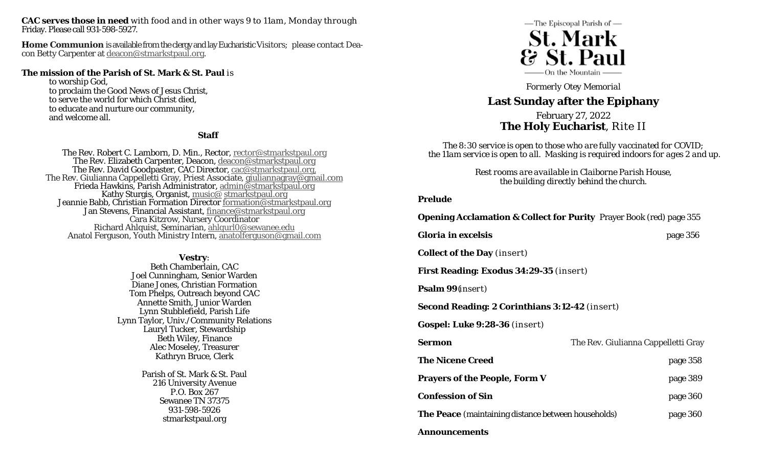**CAC serves those in need** with food and in other ways 9 to 11am, Monday through Friday. Please call 931-598-5927.

**Home Communion** is available from the clergy and lay Eucharistic Visitors; please contact Deacon Betty Carpenter at deacon@stmarkstpaul.org.

#### **The mission of the Parish of St. Mark & St. Paul** is

to worship God, to proclaim the Good News of Jesus Christ, to serve the world for which Christ died, to educate and nurture our community, and welcome all.

### **Staff**

The Rev. Robert C. Lamborn, D. Min., Rector, <u>rector@stmarkstpaul.org</u><br>The Rev. Elizabeth Carpenter, Deacon, <u>deacon@stmarkstpaul.org</u><br>The Rev. David Goodpaster, CAC Director, <u>cac@stmarkstpaul.org</u><br>The Rev. Giulianna Capp Anatol Ferguson, Youth Ministry Intern, anatolferguson@gmail.com

> **Vestry**: Beth Chamberlain, CAC Joel Cunningham, Senior Warden Diane Jones, Christian Formation Tom Phelps, Outreach beyond CAC Annette Smith, Junior Warden Lynn Stubblefield, Parish Life Lynn Taylor, Univ./Community Relations Lauryl Tucker, Stewardship Beth Wiley, Finance Alec Moseley, Treasurer Kathryn Bruce, Clerk

> > Parish of St. Mark & St. Paul 216 University Avenue P.O. Box 267 Sewanee TN 37375 931-598-5926 stmarkstpaul.org



*Formerly Otey Memorial* 

# **Last Sunday after the Epiphany**

## February 27, 2022 **The Holy Eucharist**, Rite II

*The 8:30 service is open to those who are fully vaccinated for COVID; the 11am service is open to all. Masking is required indoors for ages 2 and up.* 

> *Rest rooms are available in Claiborne Parish House, the building directly behind the church.*

### **Prelude**

| <b>Opening Acclamation &amp; Collect for Purity</b> Prayer Book (red) page 355 |                                     |
|--------------------------------------------------------------------------------|-------------------------------------|
| <b>Gloria in excelsis</b>                                                      | page 356                            |
| <b>Collect of the Day</b> (insert)                                             |                                     |
| <b>First Reading: Exodus 34:29-35 (insert)</b>                                 |                                     |
| <b>Psalm 99</b> ( <i>insert</i> )                                              |                                     |
| <b>Second Reading: 2 Corinthians 3:12-42</b> (insert)                          |                                     |
| Gospel: Luke 9:28-36 (insert)                                                  |                                     |
| Sermon                                                                         | The Rev. Giulianna Cappelletti Gray |
| <b>The Nicene Creed</b>                                                        | page 358                            |
| <b>Prayers of the People, Form V</b>                                           | page 389                            |
| <b>Confession of Sin</b>                                                       | page 360                            |
| <b>The Peace</b> (maintaining distance between households)                     | page 360                            |
| <b>Announcements</b>                                                           |                                     |